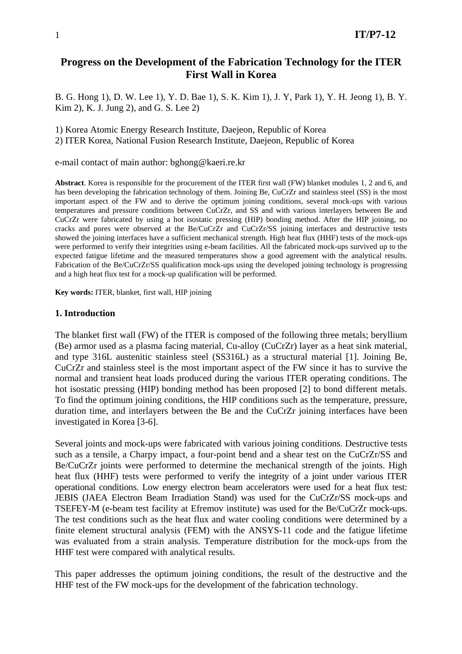# **Progress on the Development of the Fabrication Technology for the ITER First Wall in Korea**

B. G. Hong 1), D. W. Lee 1), Y. D. Bae 1), S. K. Kim 1), J. Y, Park 1), Y. H. Jeong 1), B. Y. Kim 2), K. J. Jung 2), and G. S. Lee 2)

1) Korea Atomic Energy Research Institute, Daejeon, Republic of Korea 2) ITER Korea, National Fusion Research Institute, Daejeon, Republic of Korea

e-mail contact of main author: bghong@kaeri.re.kr

**Abstract**. Korea is responsible for the procurement of the ITER first wall (FW) blanket modules 1, 2 and 6, and has been developing the fabrication technology of them. Joining Be, CuCrZr and stainless steel (SS) is the most important aspect of the FW and to derive the optimum joining conditions, several mock-ups with various temperatures and pressure conditions between CuCrZr, and SS and with various interlayers between Be and CuCrZr were fabricated by using a hot isostatic pressing (HIP) bonding method. After the HIP joining, no cracks and pores were observed at the Be/CuCrZr and CuCrZr/SS joining interfaces and destructive tests showed the joining interfaces have a sufficient mechanical strength. High heat flux (HHF) tests of the mock-ups were performed to verify their integrities using e-beam facilities. All the fabricated mock-ups survived up to the expected fatigue lifetime and the measured temperatures show a good agreement with the analytical results. Fabrication of the Be/CuCrZr/SS qualification mock-ups using the developed joining technology is progressing and a high heat flux test for a mock-up qualification will be performed.

**Key words:** ITER, blanket, first wall, HIP joining

#### **1. Introduction**

The blanket first wall (FW) of the ITER is composed of the following three metals; beryllium (Be) armor used as a plasma facing material, Cu-alloy (CuCrZr) layer as a heat sink material, and type 316L austenitic stainless steel (SS316L) as a structural material [1]. Joining Be, CuCrZr and stainless steel is the most important aspect of the FW since it has to survive the normal and transient heat loads produced during the various ITER operating conditions. The hot isostatic pressing (HIP) bonding method has been proposed [2] to bond different metals. To find the optimum joining conditions, the HIP conditions such as the temperature, pressure, duration time, and interlayers between the Be and the CuCrZr joining interfaces have been investigated in Korea [3-6].

Several joints and mock-ups were fabricated with various joining conditions. Destructive tests such as a tensile, a Charpy impact, a four-point bend and a shear test on the CuCrZr/SS and Be/CuCrZr joints were performed to determine the mechanical strength of the joints. High heat flux (HHF) tests were performed to verify the integrity of a joint under various ITER operational conditions. Low energy electron beam accelerators were used for a heat flux test: JEBIS (JAEA Electron Beam Irradiation Stand) was used for the CuCrZr/SS mock-ups and TSEFEY-M (e-beam test facility at Efremov institute) was used for the Be/CuCrZr mock-ups. The test conditions such as the heat flux and water cooling conditions were determined by a finite element structural analysis (FEM) with the ANSYS-11 code and the fatigue lifetime was evaluated from a strain analysis. Temperature distribution for the mock-ups from the HHF test were compared with analytical results.

This paper addresses the optimum joining conditions, the result of the destructive and the HHF test of the FW mock-ups for the development of the fabrication technology.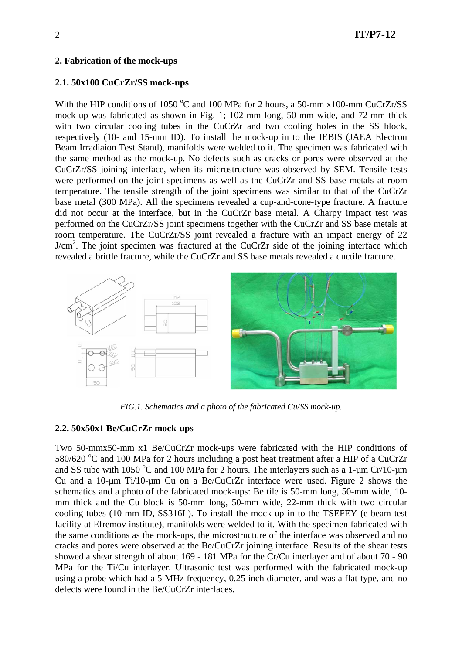### **2. Fabrication of the mock-ups**

### **2.1. 50x100 CuCrZr/SS mock-ups**

With the HIP conditions of 1050 °C and 100 MPa for 2 hours, a 50-mm  $x100$ -mm CuCrZr/SS mock-up was fabricated as shown in Fig. 1; 102-mm long, 50-mm wide, and 72-mm thick with two circular cooling tubes in the CuCrZr and two cooling holes in the SS block, respectively (10- and 15-mm ID). To install the mock-up in to the JEBIS (JAEA Electron Beam Irradiaion Test Stand), manifolds were welded to it. The specimen was fabricated with the same method as the mock-up. No defects such as cracks or pores were observed at the CuCrZr/SS joining interface, when its microstructure was observed by SEM. Tensile tests were performed on the joint specimens as well as the CuCrZr and SS base metals at room temperature. The tensile strength of the joint specimens was similar to that of the CuCrZr base metal (300 MPa). All the specimens revealed a cup-and-cone-type fracture. A fracture did not occur at the interface, but in the CuCrZr base metal. A Charpy impact test was performed on the CuCrZr/SS joint specimens together with the CuCrZr and SS base metals at room temperature. The CuCrZr/SS joint revealed a fracture with an impact energy of 22 J/cm<sup>2</sup>. The joint specimen was fractured at the CuCrZr side of the joining interface which revealed a brittle fracture, while the CuCrZr and SS base metals revealed a ductile fracture.



*FIG.1. Schematics and a photo of the fabricated Cu/SS mock-up.*

### **2.2. 50x50x1 Be/CuCrZr mock-ups**

Two 50-mmx50-mm x1 Be/CuCrZr mock-ups were fabricated with the HIP conditions of 580/620 °C and 100 MPa for 2 hours including a post heat treatment after a HIP of a CuCrZr and SS tube with 1050 °C and 100 MPa for 2 hours. The interlayers such as a 1- $\mu$ m Cr/10- $\mu$ m Cu and a 10-µm Ti/10-µm Cu on a Be/CuCrZr interface were used. Figure 2 shows the schematics and a photo of the fabricated mock-ups: Be tile is 50-mm long, 50-mm wide, 10 mm thick and the Cu block is 50-mm long, 50-mm wide, 22-mm thick with two circular cooling tubes (10-mm ID, SS316L). To install the mock-up in to the TSEFEY (e-beam test facility at Efremov institute), manifolds were welded to it. With the specimen fabricated with the same conditions as the mock-ups, the microstructure of the interface was observed and no cracks and pores were observed at the Be/CuCrZr joining interface. Results of the shear tests showed a shear strength of about 169 - 181 MPa for the Cr/Cu interlayer and of about 70 - 90 MPa for the Ti/Cu interlayer. Ultrasonic test was performed with the fabricated mock-up using a probe which had a 5 MHz frequency, 0.25 inch diameter, and was a flat-type, and no defects were found in the Be/CuCrZr interfaces.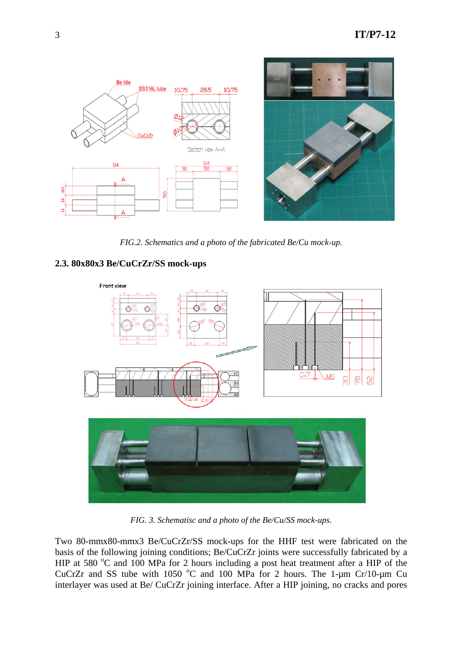

*FIG.2. Schematics and a photo of the fabricated Be/Cu mock-up.*

## **2.3. 80x80x3 Be/CuCrZr/SS mock-ups**



*FIG. 3. Schematisc and a photo of the Be/Cu/SS mock-ups.* 

Two 80-mmx80-mmx3 Be/CuCrZr/SS mock-ups for the HHF test were fabricated on the basis of the following joining conditions; Be/CuCrZr joints were successfully fabricated by a HIP at 580  $^{\circ}$ C and 100 MPa for 2 hours including a post heat treatment after a HIP of the CuCrZr and SS tube with 1050 °C and 100 MPa for 2 hours. The 1-um Cr/10-um Cu interlayer was used at Be/ CuCrZr joining interface. After a HIP joining, no cracks and pores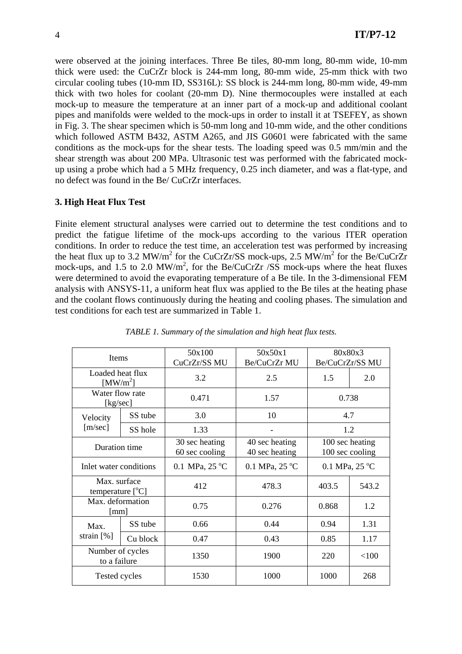were observed at the joining interfaces. Three Be tiles, 80-mm long, 80-mm wide, 10-mm thick were used: the CuCrZr block is 244-mm long, 80-mm wide, 25-mm thick with two circular cooling tubes (10-mm ID, SS316L): SS block is 244-mm long, 80-mm wide, 49-mm thick with two holes for coolant (20-mm D). Nine thermocouples were installed at each mock-up to measure the temperature at an inner part of a mock-up and additional coolant pipes and manifolds were welded to the mock-ups in order to install it at TSEFEY, as shown in Fig. 3. The shear specimen which is 50-mm long and 10-mm wide, and the other conditions which followed ASTM B432, ASTM A265, and JIS G0601 were fabricated with the same conditions as the mock-ups for the shear tests. The loading speed was 0.5 mm/min and the shear strength was about 200 MPa. Ultrasonic test was performed with the fabricated mockup using a probe which had a 5 MHz frequency, 0.25 inch diameter, and was a flat-type, and no defect was found in the Be/ CuCrZr interfaces.

### **3. High Heat Flux Test**

Finite element structural analyses were carried out to determine the test conditions and to predict the fatigue lifetime of the mock-ups according to the various ITER operation conditions. In order to reduce the test time, an acceleration test was performed by increasing the heat flux up to 3.2 MW/m<sup>2</sup> for the CuCrZr/SS mock-ups, 2.5 MW/m<sup>2</sup> for the Be/CuCrZr mock-ups, and 1.5 to 2.0 MW/m<sup>2</sup>, for the Be/CuCrZr /SS mock-ups where the heat fluxes were determined to avoid the evaporating temperature of a Be tile. In the 3-dimensional FEM analysis with ANSYS-11, a uniform heat flux was applied to the Be tiles at the heating phase and the coolant flows continuously during the heating and cooling phases. The simulation and test conditions for each test are summarized in Table 1.

| Items                                    |          | 50x100                           | 50x50x1                          | 80x80x3                            |       |
|------------------------------------------|----------|----------------------------------|----------------------------------|------------------------------------|-------|
|                                          |          | CuCrZr/SS MU                     | Be/CuCrZr MU                     | Be/CuCrZr/SS MU                    |       |
| Loaded heat flux<br>[MW/m <sup>2</sup> ] |          | 3.2                              | 2.5                              | 1.5                                | 2.0   |
| Water flow rate<br>[kg/sec]              |          | 0.471                            | 1.57                             | 0.738                              |       |
| Velocity<br>[m/sec]                      | SS tube  | 3.0                              | 10                               | 4.7                                |       |
|                                          | SS hole  | 1.33                             |                                  | 1.2                                |       |
| Duration time                            |          | 30 sec heating<br>60 sec cooling | 40 sec heating<br>40 sec heating | 100 sec heating<br>100 sec cooling |       |
| Inlet water conditions                   |          | 0.1 MPa, 25 °C                   | 0.1 MPa, $25^{\circ}$ C          | 0.1 MPa, $25^{\circ}$ C            |       |
| Max. surface<br>temperature $[°C]$       |          | 412                              | 478.3                            | 403.5                              | 543.2 |
| Max. deformation<br>[mm]                 |          | 0.75                             | 0.276                            | 0.868                              | 1.2   |
| Max.<br>strain $[%]$                     | SS tube  | 0.66                             | 0.44                             | 0.94                               | 1.31  |
|                                          | Cu block | 0.47                             | 0.43                             | 0.85                               | 1.17  |
| Number of cycles<br>to a failure         |          | 1350                             | 1900                             | 220                                | < 100 |
| Tested cycles                            |          | 1530                             | 1000                             | 1000                               | 268   |

*TABLE 1. Summary of the simulation and high heat flux tests.*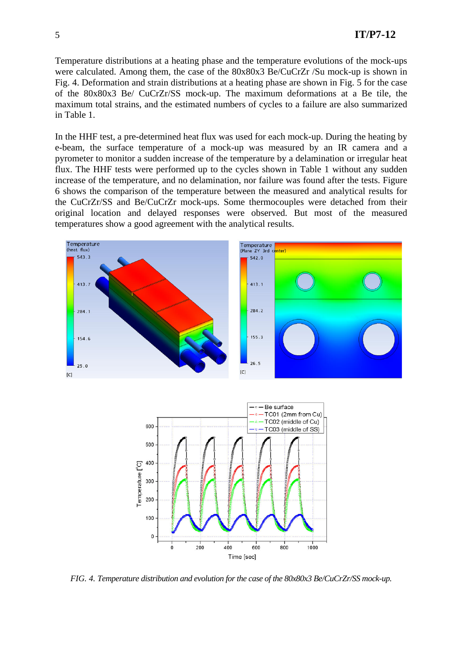Temperature distributions at a heating phase and the temperature evolutions of the mock-ups were calculated. Among them, the case of the 80x80x3 Be/CuCrZr /Su mock-up is shown in Fig. 4. Deformation and strain distributions at a heating phase are shown in Fig. 5 for the case of the 80x80x3 Be/ CuCrZr/SS mock-up. The maximum deformations at a Be tile, the maximum total strains, and the estimated numbers of cycles to a failure are also summarized in Table 1.

In the HHF test, a pre-determined heat flux was used for each mock-up. During the heating by e-beam, the surface temperature of a mock-up was measured by an IR camera and a pyrometer to monitor a sudden increase of the temperature by a delamination or irregular heat flux. The HHF tests were performed up to the cycles shown in Table 1 without any sudden increase of the temperature, and no delamination, nor failure was found after the tests. Figure 6 shows the comparison of the temperature between the measured and analytical results for the CuCrZr/SS and Be/CuCrZr mock-ups. Some thermocouples were detached from their original location and delayed responses were observed. But most of the measured temperatures show a good agreement with the analytical results.





*FIG. 4. Temperature distribution and evolution for the case of the 80x80x3 Be/CuCrZr/SS mock-up.*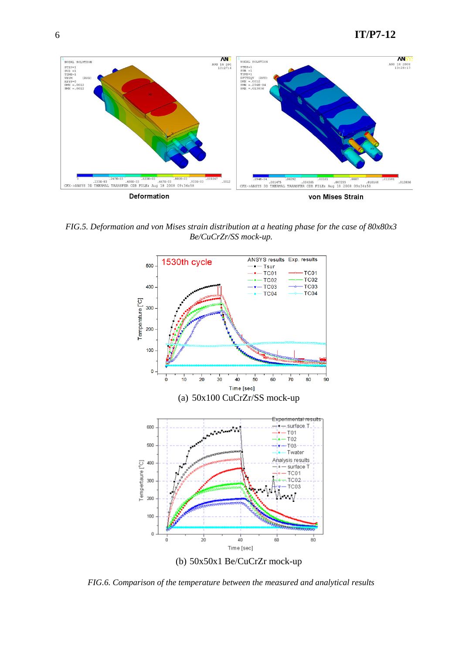

*FIG.5. Deformation and von Mises strain distribution at a heating phase for the case of 80x80x3 Be/CuCrZr/SS mock-up.* 



*FIG.6. Comparison of the temperature between the measured and analytical results*